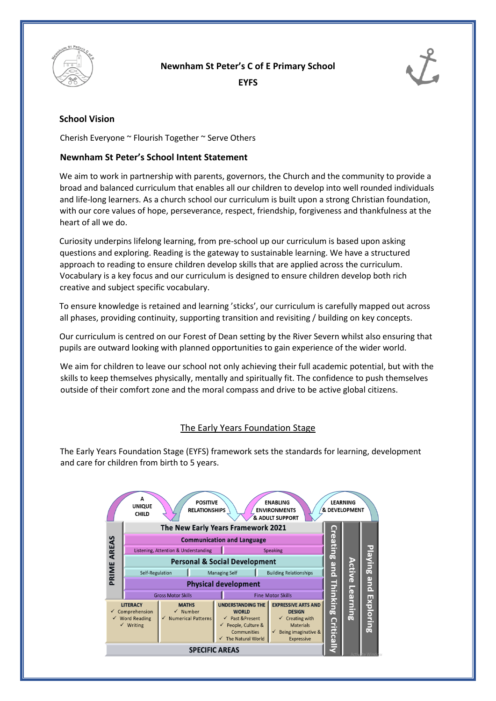

**Newnham St Peter's C of E Primary School** 

**EYFS** 



# **School Vision**

Cherish Everyone ~ Flourish Together ~ Serve Others

### **Newnham St Peter's School Intent Statement**

We aim to work in partnership with parents, governors, the Church and the community to provide a broad and balanced curriculum that enables all our children to develop into well rounded individuals and life-long learners. As a church school our curriculum is built upon a strong Christian foundation, with our core values of hope, perseverance, respect, friendship, forgiveness and thankfulness at the heart of all we do.

Curiosity underpins lifelong learning, from pre-school up our curriculum is based upon asking questions and exploring. Reading is the gateway to sustainable learning. We have a structured approach to reading to ensure children develop skills that are applied across the curriculum. Vocabulary is a key focus and our curriculum is designed to ensure children develop both rich creative and subject specific vocabulary.

To ensure knowledge is retained and learning 'sticks', our curriculum is carefully mapped out across all phases, providing continuity, supporting transition and revisiting / building on key concepts.

Our curriculum is centred on our Forest of Dean setting by the River Severn whilst also ensuring that pupils are outward looking with planned opportunities to gain experience of the wider world.

We aim for children to leave our school not only achieving their full academic potential, but with the skills to keep themselves physically, mentally and spiritually fit. The confidence to push themselves outside of their comfort zone and the moral compass and drive to be active global citizens.

## The Early Years Foundation Stage

The Early Years Foundation Stage (EYFS) framework sets the standards for learning, development and care for children from birth to 5 years.

|                                                                                                    |                       | A<br><b>UNIQUE</b><br><b>CHILD</b>       |                                     | <b>POSITIVE</b><br><b>RELATIONSHIPS</b> |                                                                                                                                          | <b>ENABLING</b><br><b>ENVIRONMENTS</b><br>& ADULT SUPPORT                                                                                 | & DEVELOPMENT                       | <b>LEARNING</b> |           |
|----------------------------------------------------------------------------------------------------|-----------------------|------------------------------------------|-------------------------------------|-----------------------------------------|------------------------------------------------------------------------------------------------------------------------------------------|-------------------------------------------------------------------------------------------------------------------------------------------|-------------------------------------|-----------------|-----------|
|                                                                                                    |                       | The New Early Years Framework 2021       |                                     |                                         |                                                                                                                                          |                                                                                                                                           |                                     |                 |           |
|                                                                                                    |                       | <b>Communication and Language</b>        |                                     |                                         |                                                                                                                                          |                                                                                                                                           |                                     |                 |           |
|                                                                                                    |                       | Listening, Attention & Understanding     |                                     |                                         |                                                                                                                                          | Speaking                                                                                                                                  |                                     |                 |           |
| PRIME AREAS                                                                                        |                       | <b>Personal &amp; Social Development</b> |                                     |                                         |                                                                                                                                          |                                                                                                                                           | <b>Creating</b>                     |                 | Playing   |
|                                                                                                    |                       | Self-Regulation                          |                                     |                                         | <b>Managing Self</b><br><b>Building Relationships</b>                                                                                    |                                                                                                                                           | and                                 | Active          |           |
|                                                                                                    |                       | <b>Physical development</b>              |                                     |                                         |                                                                                                                                          |                                                                                                                                           |                                     |                 | pue       |
|                                                                                                    |                       | <b>Gross Motor Skills</b>                |                                     |                                         | <b>Fine Motor Skills</b>                                                                                                                 |                                                                                                                                           |                                     |                 |           |
| <b>LITERACY</b><br>$\checkmark$ Comprehension<br>$\checkmark$ Word Reading<br>$\checkmark$ Writing |                       |                                          | <b>MATHS</b><br>$\checkmark$ Number | Numerical Patterns                      | <b>UNDERSTANDING THE</b><br><b>WORLD</b><br>Past & Present<br>$\checkmark$<br>People, Culture &<br>✓<br>Communities<br>The Natural World | <b>EXPRESSIVE ARTS AND</b><br><b>DESIGN</b><br>$\checkmark$ Creating with<br><b>Materials</b><br>Being imaginative &<br><b>Expressive</b> | <b>Thinking</b><br><b>Criticall</b> | Learning        | Exploring |
|                                                                                                    | <b>SPECIFIC AREAS</b> |                                          |                                     |                                         |                                                                                                                                          |                                                                                                                                           |                                     |                 |           |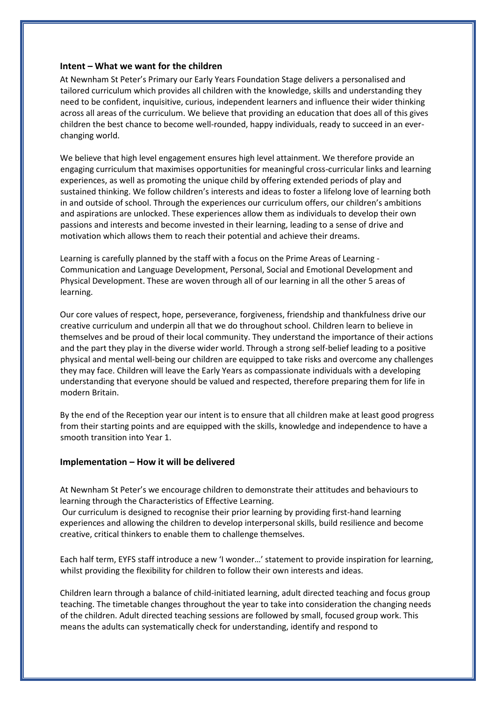#### **Intent – What we want for the children**

At Newnham St Peter's Primary our Early Years Foundation Stage delivers a personalised and tailored curriculum which provides all children with the knowledge, skills and understanding they need to be confident, inquisitive, curious, independent learners and influence their wider thinking across all areas of the curriculum. We believe that providing an education that does all of this gives children the best chance to become well-rounded, happy individuals, ready to succeed in an everchanging world.

We believe that high level engagement ensures high level attainment. We therefore provide an engaging curriculum that maximises opportunities for meaningful cross-curricular links and learning experiences, as well as promoting the unique child by offering extended periods of play and sustained thinking. We follow children's interests and ideas to foster a lifelong love of learning both in and outside of school. Through the experiences our curriculum offers, our children's ambitions and aspirations are unlocked. These experiences allow them as individuals to develop their own passions and interests and become invested in their learning, leading to a sense of drive and motivation which allows them to reach their potential and achieve their dreams.

Learning is carefully planned by the staff with a focus on the Prime Areas of Learning - Communication and Language Development, Personal, Social and Emotional Development and Physical Development. These are woven through all of our learning in all the other 5 areas of learning.

Our core values of respect, hope, perseverance, forgiveness, friendship and thankfulness drive our creative curriculum and underpin all that we do throughout school. Children learn to believe in themselves and be proud of their local community. They understand the importance of their actions and the part they play in the diverse wider world. Through a strong self-belief leading to a positive physical and mental well-being our children are equipped to take risks and overcome any challenges they may face. Children will leave the Early Years as compassionate individuals with a developing understanding that everyone should be valued and respected, therefore preparing them for life in modern Britain.

By the end of the Reception year our intent is to ensure that all children make at least good progress from their starting points and are equipped with the skills, knowledge and independence to have a smooth transition into Year 1.

#### **Implementation – How it will be delivered**

At Newnham St Peter's we encourage children to demonstrate their attitudes and behaviours to learning through the Characteristics of Effective Learning.

Our curriculum is designed to recognise their prior learning by providing first-hand learning experiences and allowing the children to develop interpersonal skills, build resilience and become creative, critical thinkers to enable them to challenge themselves.

Each half term, EYFS staff introduce a new 'I wonder…' statement to provide inspiration for learning, whilst providing the flexibility for children to follow their own interests and ideas.

Children learn through a balance of child-initiated learning, adult directed teaching and focus group teaching. The timetable changes throughout the year to take into consideration the changing needs of the children. Adult directed teaching sessions are followed by small, focused group work. This means the adults can systematically check for understanding, identify and respond to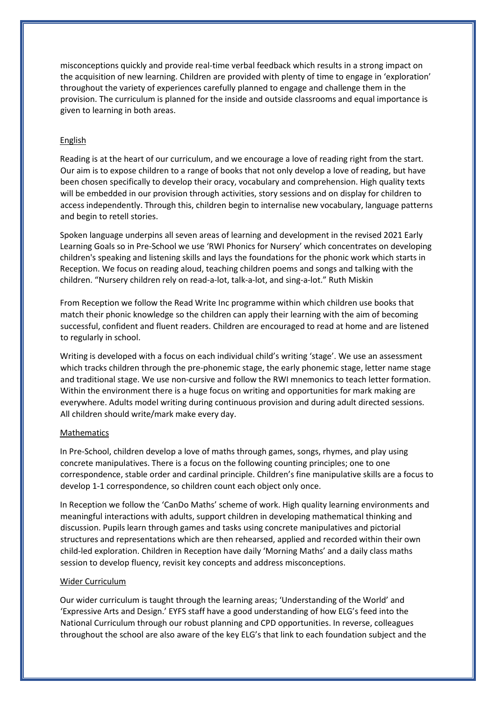misconceptions quickly and provide real-time verbal feedback which results in a strong impact on the acquisition of new learning. Children are provided with plenty of time to engage in 'exploration' throughout the variety of experiences carefully planned to engage and challenge them in the provision. The curriculum is planned for the inside and outside classrooms and equal importance is given to learning in both areas.

#### English

Reading is at the heart of our curriculum, and we encourage a love of reading right from the start. Our aim is to expose children to a range of books that not only develop a love of reading, but have been chosen specifically to develop their oracy, vocabulary and comprehension. High quality texts will be embedded in our provision through activities, story sessions and on display for children to access independently. Through this, children begin to internalise new vocabulary, language patterns and begin to retell stories.

Spoken language underpins all seven areas of learning and development in the revised 2021 Early Learning Goals so in Pre-School we use 'RWI Phonics for Nursery' which concentrates on developing children's speaking and listening skills and lays the foundations for the phonic work which starts in Reception. We focus on reading aloud, teaching children poems and songs and talking with the children. "Nursery children rely on read-a-lot, talk-a-lot, and sing-a-lot." Ruth Miskin

From Reception we follow the Read Write Inc programme within which children use books that match their phonic knowledge so the children can apply their learning with the aim of becoming successful, confident and fluent readers. Children are encouraged to read at home and are listened to regularly in school.

Writing is developed with a focus on each individual child's writing 'stage'. We use an assessment which tracks children through the pre-phonemic stage, the early phonemic stage, letter name stage and traditional stage. We use non-cursive and follow the RWI mnemonics to teach letter formation. Within the environment there is a huge focus on writing and opportunities for mark making are everywhere. Adults model writing during continuous provision and during adult directed sessions. All children should write/mark make every day.

#### Mathematics

In Pre-School, children develop a love of maths through games, songs, rhymes, and play using concrete manipulatives. There is a focus on the following counting principles; one to one correspondence, stable order and cardinal principle. Children's fine manipulative skills are a focus to develop 1-1 correspondence, so children count each object only once.

In Reception we follow the 'CanDo Maths' scheme of work. High quality learning environments and meaningful interactions with adults, support children in developing mathematical thinking and discussion. Pupils learn through games and tasks using concrete manipulatives and pictorial structures and representations which are then rehearsed, applied and recorded within their own child-led exploration. Children in Reception have daily 'Morning Maths' and a daily class maths session to develop fluency, revisit key concepts and address misconceptions.

#### Wider Curriculum

Our wider curriculum is taught through the learning areas; 'Understanding of the World' and 'Expressive Arts and Design.' EYFS staff have a good understanding of how ELG's feed into the National Curriculum through our robust planning and CPD opportunities. In reverse, colleagues throughout the school are also aware of the key ELG's that link to each foundation subject and the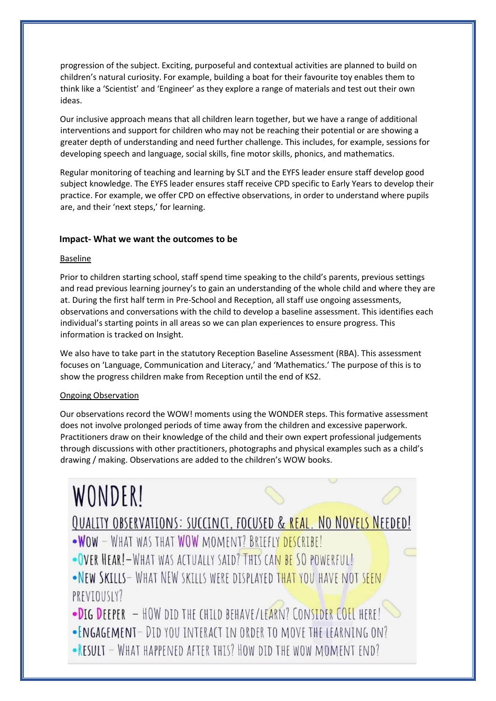progression of the subject. Exciting, purposeful and contextual activities are planned to build on children's natural curiosity. For example, building a boat for their favourite toy enables them to think like a 'Scientist' and 'Engineer' as they explore a range of materials and test out their own ideas.

Our inclusive approach means that all children learn together, but we have a range of additional interventions and support for children who may not be reaching their potential or are showing a greater depth of understanding and need further challenge. This includes, for example, sessions for developing speech and language, social skills, fine motor skills, phonics, and mathematics.

Regular monitoring of teaching and learning by SLT and the EYFS leader ensure staff develop good subject knowledge. The EYFS leader ensures staff receive CPD specific to Early Years to develop their practice. For example, we offer CPD on effective observations, in order to understand where pupils are, and their 'next steps,' for learning.

#### **Impact- What we want the outcomes to be**

#### **Baseline**

Prior to children starting school, staff spend time speaking to the child's parents, previous settings and read previous learning journey's to gain an understanding of the whole child and where they are at. During the first half term in Pre-School and Reception, all staff use ongoing assessments, observations and conversations with the child to develop a baseline assessment. This identifies each individual's starting points in all areas so we can plan experiences to ensure progress. This information is tracked on Insight.

We also have to take part in the statutory Reception Baseline Assessment (RBA). This assessment focuses on 'Language, Communication and Literacy,' and 'Mathematics.' The purpose of this is to show the progress children make from Reception until the end of KS2.

#### Ongoing Observation

Our observations record the WOW! moments using the WONDER steps. This formative assessment does not involve prolonged periods of time away from the children and excessive paperwork. Practitioners draw on their knowledge of the child and their own expert professional judgements through discussions with other practitioners, photographs and physical examples such as a child's drawing / making. Observations are added to the children's WOW books.

# **WONDER!**

# **QUALITY OBSERVATIONS: SUCCINCT, FOCUSED & REAL. NO NOVELS NEEDED!**

- .WOW WHAT WAS THAT WOW MOMENT? BRIEFLY DESCRIBE!
- OVER HEAR! WHAT WAS ACTUALLY SAID? THIS CAN BE SO POWERFUL!
- .NEW SKILLS- WHAT NEW SKILLS WERE DISPLAYED THAT YOU HAVE NOT SEEN PREVIOUSLY?
- .DIG DEEPER HOW DID THE CHILD BEHAVE/LEARN? CONSIDER COFL HERE!
- ENGAGEMENT DID YOU INTERACT IN ORDER TO MOVE THE LEARNING ON?
- RESULT WHAT HAPPENED AFTER THIS? HOW DID THE WOW MOMENT END?